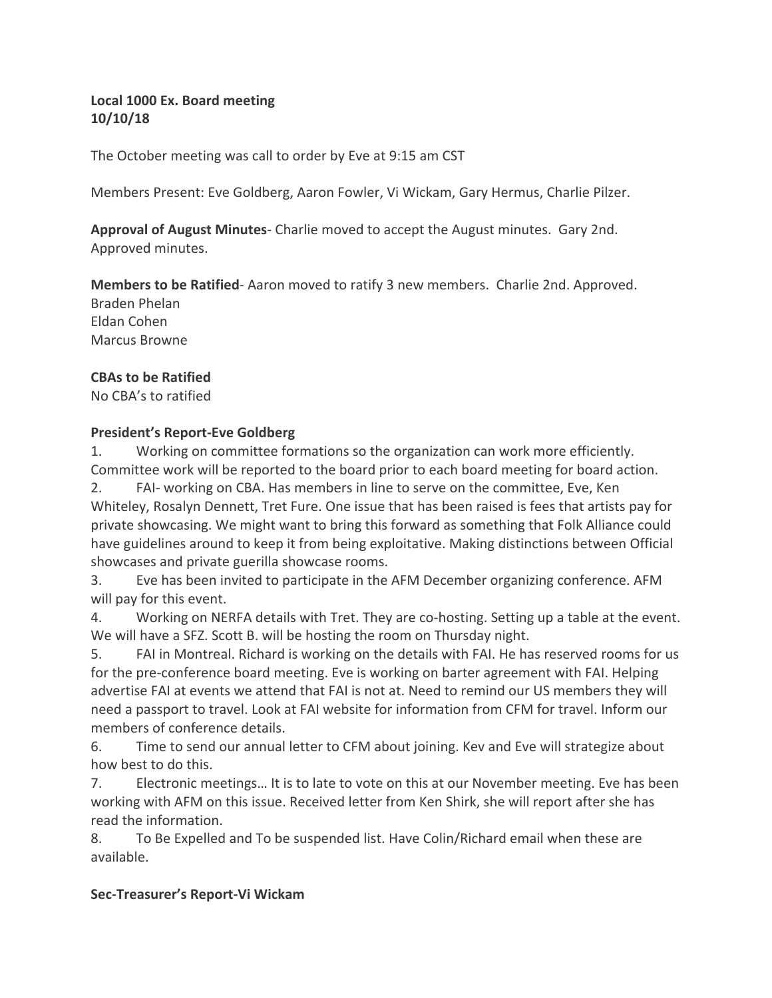# Local 1000 Ex. Board meeting **10/10/18**

The October meeting was call to order by Eve at 9:15 am CST

Members Present: Eve Goldberg, Aaron Fowler, Vi Wickam, Gary Hermus, Charlie Pilzer.

**Approval of August Minutes**- Charlie moved to accept the August minutes. Gary 2nd. Approved minutes.

**Members to be Ratified**- Aaron moved to ratify 3 new members. Charlie 2nd. Approved.

Braden Phelan Eldan Cohen Marcus Browne

## **CBAs to be Ratified**

No CBA's to ratified

## **President's Report-Eve Goldberg**

1. Working on committee formations so the organization can work more efficiently. Committee work will be reported to the board prior to each board meeting for board action.

2. FAI- working on CBA. Has members in line to serve on the committee, Eve, Ken Whiteley, Rosalyn Dennett, Tret Fure. One issue that has been raised is fees that artists pay for private showcasing. We might want to bring this forward as something that Folk Alliance could have guidelines around to keep it from being exploitative. Making distinctions between Official showcases and private guerilla showcase rooms.

3. Eve has been invited to participate in the AFM December organizing conference. AFM will pay for this event.

4. Working on NERFA details with Tret. They are co-hosting. Setting up a table at the event. We will have a SFZ. Scott B. will be hosting the room on Thursday night.

5. FAI in Montreal. Richard is working on the details with FAI. He has reserved rooms for us for the pre-conference board meeting. Eve is working on barter agreement with FAI. Helping advertise FAI at events we attend that FAI is not at. Need to remind our US members they will need a passport to travel. Look at FAI website for information from CFM for travel. Inform our members of conference details.

6. Time to send our annual letter to CFM about joining. Kev and Eve will strategize about how best to do this.

7. Electronic meetings... It is to late to vote on this at our November meeting. Eve has been working with AFM on this issue. Received letter from Ken Shirk, she will report after she has read the information.

8. To Be Expelled and To be suspended list. Have Colin/Richard email when these are available.

## **Sec-Treasurer's Report-Vi Wickam**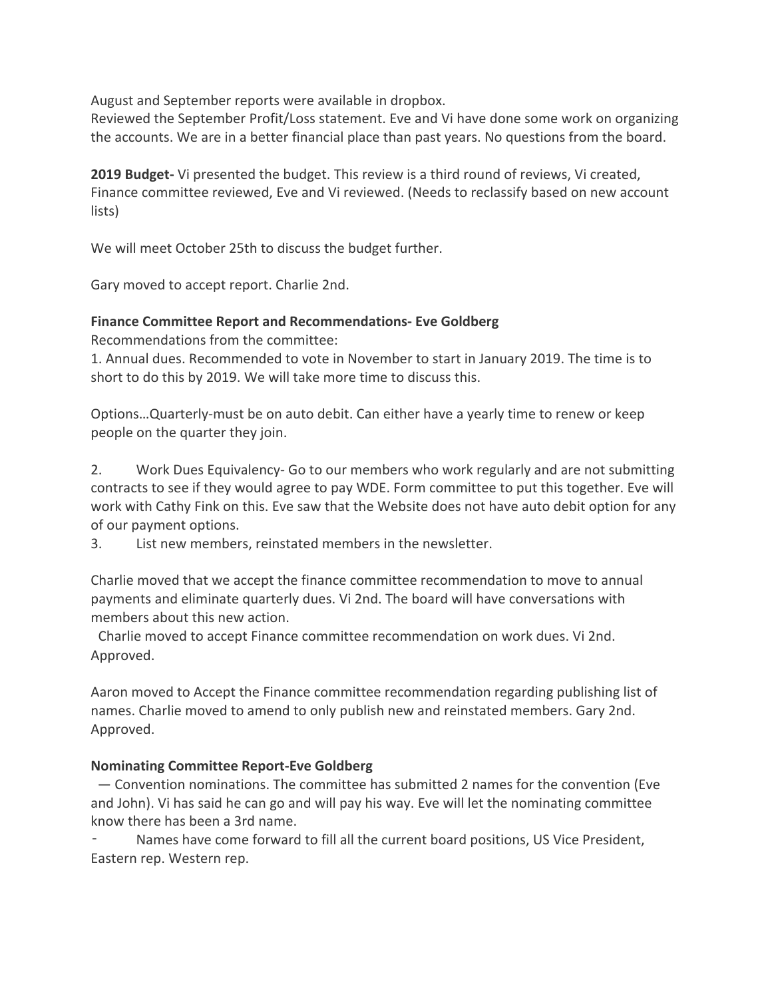August and September reports were available in dropbox.

Reviewed the September Profit/Loss statement. Eve and Vi have done some work on organizing the accounts. We are in a better financial place than past years. No questions from the board.

**2019 Budget-** Vi presented the budget. This review is a third round of reviews, Vi created, Finance committee reviewed, Eve and Vi reviewed. (Needs to reclassify based on new account lists) 

We will meet October 25th to discuss the budget further.

Gary moved to accept report. Charlie 2nd.

## **Finance Committee Report and Recommendations- Eve Goldberg**

Recommendations from the committee:

1. Annual dues. Recommended to vote in November to start in January 2019. The time is to short to do this by 2019. We will take more time to discuss this.

Options...Quarterly-must be on auto debit. Can either have a yearly time to renew or keep people on the quarter they join.

2. Work Dues Equivalency- Go to our members who work regularly and are not submitting contracts to see if they would agree to pay WDE. Form committee to put this together. Eve will work with Cathy Fink on this. Eve saw that the Website does not have auto debit option for any of our payment options.

3. List new members, reinstated members in the newsletter.

Charlie moved that we accept the finance committee recommendation to move to annual payments and eliminate quarterly dues. Vi 2nd. The board will have conversations with members about this new action.

Charlie moved to accept Finance committee recommendation on work dues. Vi 2nd. Approved.

Aaron moved to Accept the Finance committee recommendation regarding publishing list of names. Charlie moved to amend to only publish new and reinstated members. Gary 2nd. Approved.

## **Nominating Committee Report-Eve Goldberg**

 $-$  Convention nominations. The committee has submitted 2 names for the convention (Eve and John). Vi has said he can go and will pay his way. Eve will let the nominating committee know there has been a 3rd name.

Names have come forward to fill all the current board positions, US Vice President, Eastern rep. Western rep.